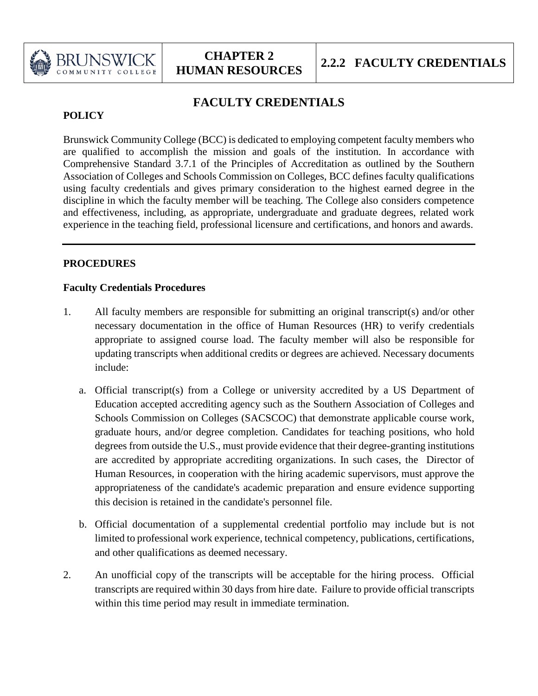

# **FACULTY CREDENTIALS**

## **POLICY**

Brunswick Community College (BCC) is dedicated to employing competent faculty members who are qualified to accomplish the mission and goals of the institution. In accordance with Comprehensive Standard 3.7.1 of the Principles of Accreditation as outlined by the Southern Association of Colleges and Schools Commission on Colleges, BCC defines faculty qualifications using faculty credentials and gives primary consideration to the highest earned degree in the discipline in which the faculty member will be teaching. The College also considers competence and effectiveness, including, as appropriate, undergraduate and graduate degrees, related work experience in the teaching field, professional licensure and certifications, and honors and awards.

### **PROCEDURES**

#### **Faculty Credentials Procedures**

- 1. All faculty members are responsible for submitting an original transcript(s) and/or other necessary documentation in the office of Human Resources (HR) to verify credentials appropriate to assigned course load. The faculty member will also be responsible for updating transcripts when additional credits or degrees are achieved. Necessary documents include:
	- a. Official transcript(s) from a College or university accredited by a US Department of Education accepted accrediting agency such as the Southern Association of Colleges and Schools Commission on Colleges (SACSCOC) that demonstrate applicable course work, graduate hours, and/or degree completion. Candidates for teaching positions, who hold degrees from outside the U.S., must provide evidence that their degree-granting institutions are accredited by appropriate accrediting organizations. In such cases, the Director of Human Resources, in cooperation with the hiring academic supervisors, must approve the appropriateness of the candidate's academic preparation and ensure evidence supporting this decision is retained in the candidate's personnel file.
	- b. Official documentation of a supplemental credential portfolio may include but is not limited to professional work experience, technical competency, publications, certifications, and other qualifications as deemed necessary.
- 2. An unofficial copy of the transcripts will be acceptable for the hiring process. Official transcripts are required within 30 days from hire date. Failure to provide official transcripts within this time period may result in immediate termination.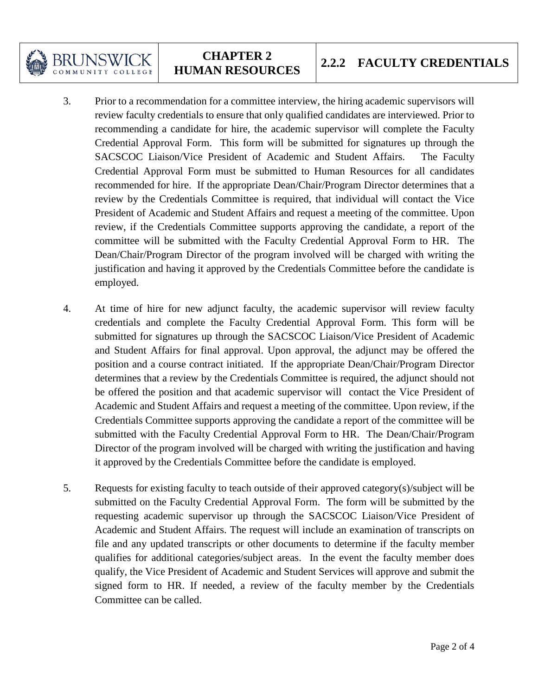

# **CHAPTER 2**

- 3. Prior to a recommendation for a committee interview, the hiring academic supervisors will review faculty credentials to ensure that only qualified candidates are interviewed. Prior to recommending a candidate for hire, the academic supervisor will complete the Faculty Credential Approval Form. This form will be submitted for signatures up through the SACSCOC Liaison/Vice President of Academic and Student Affairs. The Faculty Credential Approval Form must be submitted to Human Resources for all candidates recommended for hire. If the appropriate Dean/Chair/Program Director determines that a review by the Credentials Committee is required, that individual will contact the Vice President of Academic and Student Affairs and request a meeting of the committee. Upon review, if the Credentials Committee supports approving the candidate, a report of the committee will be submitted with the Faculty Credential Approval Form to HR. The Dean/Chair/Program Director of the program involved will be charged with writing the justification and having it approved by the Credentials Committee before the candidate is employed.
- 4. At time of hire for new adjunct faculty, the academic supervisor will review faculty credentials and complete the Faculty Credential Approval Form. This form will be submitted for signatures up through the SACSCOC Liaison/Vice President of Academic and Student Affairs for final approval. Upon approval, the adjunct may be offered the position and a course contract initiated. If the appropriate Dean/Chair/Program Director determines that a review by the Credentials Committee is required, the adjunct should not be offered the position and that academic supervisor will contact the Vice President of Academic and Student Affairs and request a meeting of the committee. Upon review, if the Credentials Committee supports approving the candidate a report of the committee will be submitted with the Faculty Credential Approval Form to HR. The Dean/Chair/Program Director of the program involved will be charged with writing the justification and having it approved by the Credentials Committee before the candidate is employed.
- 5. Requests for existing faculty to teach outside of their approved category(s)/subject will be submitted on the Faculty Credential Approval Form. The form will be submitted by the requesting academic supervisor up through the SACSCOC Liaison/Vice President of Academic and Student Affairs. The request will include an examination of transcripts on file and any updated transcripts or other documents to determine if the faculty member qualifies for additional categories/subject areas. In the event the faculty member does qualify, the Vice President of Academic and Student Services will approve and submit the signed form to HR. If needed, a review of the faculty member by the Credentials Committee can be called.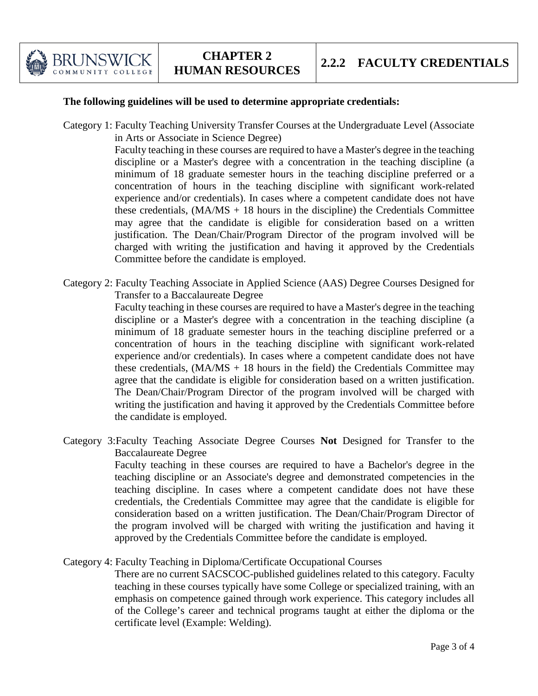

#### **The following guidelines will be used to determine appropriate credentials:**

Category 1: Faculty Teaching University Transfer Courses at the Undergraduate Level (Associate in Arts or Associate in Science Degree)

> Faculty teaching in these courses are required to have a Master's degree in the teaching discipline or a Master's degree with a concentration in the teaching discipline (a minimum of 18 graduate semester hours in the teaching discipline preferred or a concentration of hours in the teaching discipline with significant work-related experience and/or credentials). In cases where a competent candidate does not have these credentials,  $(MA/MS + 18$  hours in the discipline) the Credentials Committee may agree that the candidate is eligible for consideration based on a written justification. The Dean/Chair/Program Director of the program involved will be charged with writing the justification and having it approved by the Credentials Committee before the candidate is employed.

Category 2: Faculty Teaching Associate in Applied Science (AAS) Degree Courses Designed for Transfer to a Baccalaureate Degree

> Faculty teaching in these courses are required to have a Master's degree in the teaching discipline or a Master's degree with a concentration in the teaching discipline (a minimum of 18 graduate semester hours in the teaching discipline preferred or a concentration of hours in the teaching discipline with significant work-related experience and/or credentials). In cases where a competent candidate does not have these credentials,  $(MA/MS + 18$  hours in the field) the Credentials Committee may agree that the candidate is eligible for consideration based on a written justification. The Dean/Chair/Program Director of the program involved will be charged with writing the justification and having it approved by the Credentials Committee before the candidate is employed.

Category 3:Faculty Teaching Associate Degree Courses **Not** Designed for Transfer to the Baccalaureate Degree

> Faculty teaching in these courses are required to have a Bachelor's degree in the teaching discipline or an Associate's degree and demonstrated competencies in the teaching discipline. In cases where a competent candidate does not have these credentials, the Credentials Committee may agree that the candidate is eligible for consideration based on a written justification. The Dean/Chair/Program Director of the program involved will be charged with writing the justification and having it approved by the Credentials Committee before the candidate is employed.

Category 4: Faculty Teaching in Diploma/Certificate Occupational Courses

There are no current SACSCOC-published guidelines related to this category. Faculty teaching in these courses typically have some College or specialized training, with an emphasis on competence gained through work experience. This category includes all of the College's career and technical programs taught at either the diploma or the certificate level (Example: Welding).